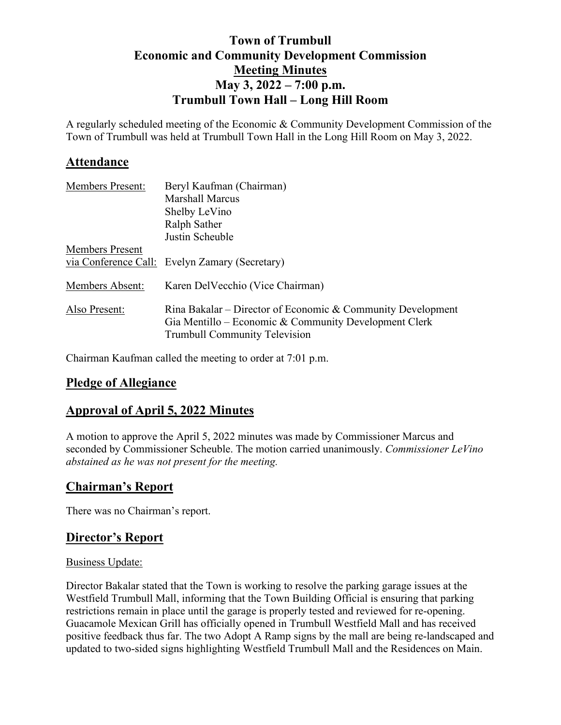## **Town of Trumbull Economic and Community Development Commission Meeting Minutes May 3, 2022 – 7:00 p.m. Trumbull Town Hall – Long Hill Room**

A regularly scheduled meeting of the Economic & Community Development Commission of the Town of Trumbull was held at Trumbull Town Hall in the Long Hill Room on May 3, 2022.

### **Attendance**

| <b>Members Present:</b> | Beryl Kaufman (Chairman)                                                                                                                                     |
|-------------------------|--------------------------------------------------------------------------------------------------------------------------------------------------------------|
|                         | <b>Marshall Marcus</b>                                                                                                                                       |
|                         | Shelby LeVino                                                                                                                                                |
|                         | Ralph Sather                                                                                                                                                 |
|                         | Justin Scheuble                                                                                                                                              |
| <b>Members Present</b>  |                                                                                                                                                              |
|                         | via Conference Call: Evelyn Zamary (Secretary)                                                                                                               |
| Members Absent:         | Karen Del Vecchio (Vice Chairman)                                                                                                                            |
| Also Present:           | Rina Bakalar – Director of Economic & Community Development<br>Gia Mentillo – Economic & Community Development Clerk<br><b>Trumbull Community Television</b> |

Chairman Kaufman called the meeting to order at 7:01 p.m.

### **Pledge of Allegiance**

### **Approval of April 5, 2022 Minutes**

A motion to approve the April 5, 2022 minutes was made by Commissioner Marcus and seconded by Commissioner Scheuble. The motion carried unanimously. *Commissioner LeVino abstained as he was not present for the meeting.* 

### **Chairman's Report**

There was no Chairman's report.

### **Director's Report**

#### Business Update:

Director Bakalar stated that the Town is working to resolve the parking garage issues at the Westfield Trumbull Mall, informing that the Town Building Official is ensuring that parking restrictions remain in place until the garage is properly tested and reviewed for re-opening. Guacamole Mexican Grill has officially opened in Trumbull Westfield Mall and has received positive feedback thus far. The two Adopt A Ramp signs by the mall are being re-landscaped and updated to two-sided signs highlighting Westfield Trumbull Mall and the Residences on Main.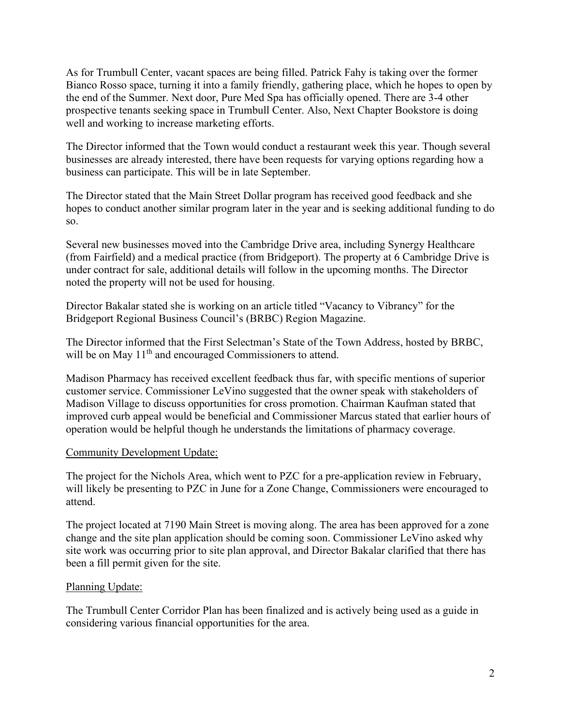As for Trumbull Center, vacant spaces are being filled. Patrick Fahy is taking over the former Bianco Rosso space, turning it into a family friendly, gathering place, which he hopes to open by the end of the Summer. Next door, Pure Med Spa has officially opened. There are 3-4 other prospective tenants seeking space in Trumbull Center. Also, Next Chapter Bookstore is doing well and working to increase marketing efforts.

The Director informed that the Town would conduct a restaurant week this year. Though several businesses are already interested, there have been requests for varying options regarding how a business can participate. This will be in late September.

The Director stated that the Main Street Dollar program has received good feedback and she hopes to conduct another similar program later in the year and is seeking additional funding to do so.

Several new businesses moved into the Cambridge Drive area, including Synergy Healthcare (from Fairfield) and a medical practice (from Bridgeport). The property at 6 Cambridge Drive is under contract for sale, additional details will follow in the upcoming months. The Director noted the property will not be used for housing.

Director Bakalar stated she is working on an article titled "Vacancy to Vibrancy" for the Bridgeport Regional Business Council's (BRBC) Region Magazine.

The Director informed that the First Selectman's State of the Town Address, hosted by BRBC, will be on May 11<sup>th</sup> and encouraged Commissioners to attend.

Madison Pharmacy has received excellent feedback thus far, with specific mentions of superior customer service. Commissioner LeVino suggested that the owner speak with stakeholders of Madison Village to discuss opportunities for cross promotion. Chairman Kaufman stated that improved curb appeal would be beneficial and Commissioner Marcus stated that earlier hours of operation would be helpful though he understands the limitations of pharmacy coverage.

#### Community Development Update:

The project for the Nichols Area, which went to PZC for a pre-application review in February, will likely be presenting to PZC in June for a Zone Change, Commissioners were encouraged to attend.

The project located at 7190 Main Street is moving along. The area has been approved for a zone change and the site plan application should be coming soon. Commissioner LeVino asked why site work was occurring prior to site plan approval, and Director Bakalar clarified that there has been a fill permit given for the site.

#### Planning Update:

The Trumbull Center Corridor Plan has been finalized and is actively being used as a guide in considering various financial opportunities for the area.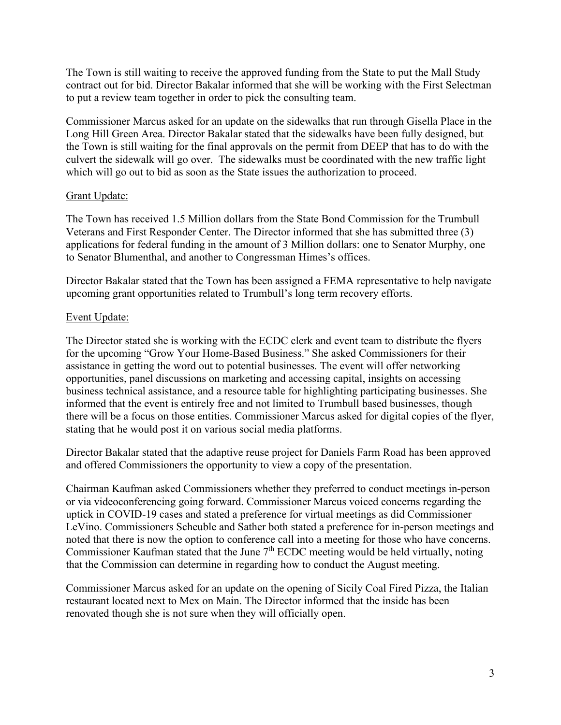The Town is still waiting to receive the approved funding from the State to put the Mall Study contract out for bid. Director Bakalar informed that she will be working with the First Selectman to put a review team together in order to pick the consulting team.

Commissioner Marcus asked for an update on the sidewalks that run through Gisella Place in the Long Hill Green Area. Director Bakalar stated that the sidewalks have been fully designed, but the Town is still waiting for the final approvals on the permit from DEEP that has to do with the culvert the sidewalk will go over. The sidewalks must be coordinated with the new traffic light which will go out to bid as soon as the State issues the authorization to proceed.

#### Grant Update:

The Town has received 1.5 Million dollars from the State Bond Commission for the Trumbull Veterans and First Responder Center. The Director informed that she has submitted three (3) applications for federal funding in the amount of 3 Million dollars: one to Senator Murphy, one to Senator Blumenthal, and another to Congressman Himes's offices.

Director Bakalar stated that the Town has been assigned a FEMA representative to help navigate upcoming grant opportunities related to Trumbull's long term recovery efforts.

### Event Update:

The Director stated she is working with the ECDC clerk and event team to distribute the flyers for the upcoming "Grow Your Home-Based Business." She asked Commissioners for their assistance in getting the word out to potential businesses. The event will offer networking opportunities, panel discussions on marketing and accessing capital, insights on accessing business technical assistance, and a resource table for highlighting participating businesses. She informed that the event is entirely free and not limited to Trumbull based businesses, though there will be a focus on those entities. Commissioner Marcus asked for digital copies of the flyer, stating that he would post it on various social media platforms.

Director Bakalar stated that the adaptive reuse project for Daniels Farm Road has been approved and offered Commissioners the opportunity to view a copy of the presentation.

Chairman Kaufman asked Commissioners whether they preferred to conduct meetings in-person or via videoconferencing going forward. Commissioner Marcus voiced concerns regarding the uptick in COVID-19 cases and stated a preference for virtual meetings as did Commissioner LeVino. Commissioners Scheuble and Sather both stated a preference for in-person meetings and noted that there is now the option to conference call into a meeting for those who have concerns. Commissioner Kaufman stated that the June  $7<sup>th</sup>$  ECDC meeting would be held virtually, noting that the Commission can determine in regarding how to conduct the August meeting.

Commissioner Marcus asked for an update on the opening of Sicily Coal Fired Pizza, the Italian restaurant located next to Mex on Main. The Director informed that the inside has been renovated though she is not sure when they will officially open.